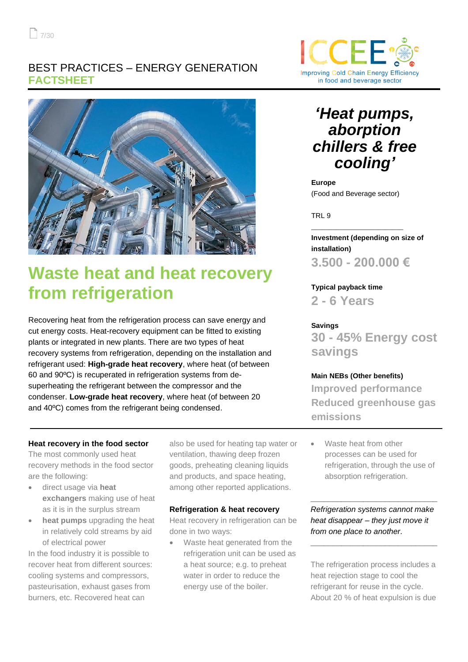### BEST PRACTICES – ENERGY GENERATION **FACTSHEET**



# **Waste heat and heat recovery from refrigeration**

Recovering heat from the refrigeration process can save energy and cut energy costs. Heat-recovery equipment can be fitted to existing plants or integrated in new plants. There are two types of heat recovery systems from refrigeration, depending on the installation and refrigerant used: **High-grade heat recovery**, where heat (of between 60 and 90ºC) is recuperated in refrigeration systems from desuperheating the refrigerant between the compressor and the condenser. **Low-grade heat recovery**, where heat (of between 20 and 40ºC) comes from the refrigerant being condensed.

#### **Heat recovery in the food sector**

The most commonly used heat recovery methods in the food sector are the following:

- direct usage via **heat exchangers** making use of heat as it is in the surplus stream
- **heat pumps** upgrading the heat in relatively cold streams by aid of electrical power

In the food industry it is possible to recover heat from different sources: cooling systems and compressors, pasteurisation, exhaust gases from burners, etc. Recovered heat can

also be used for heating tap water or ventilation, thawing deep frozen goods, preheating cleaning liquids and products, and space heating, among other reported applications.

#### **Refrigeration & heat recovery**

Heat recovery in refrigeration can be done in two ways:

Waste heat generated from the refrigeration unit can be used as a heat source; e.g. to preheat water in order to reduce the energy use of the boiler.



## *'Heat pumps, aborption chillers & free cooling'*

**Europe** (Food and Beverage sector)

\_\_\_\_\_\_\_\_\_\_\_\_\_\_\_\_\_\_\_\_\_\_\_\_\_\_

TRL 9

**Investment (depending on size of installation) 3.500 - 200.000 €**

**Typical payback time**

**2 - 6 Years**

#### **Savings**

**30 - 45% Energy cost savings**

#### **Main NEBs (Other benefits)**

**Improved performance Reduced greenhouse gas emissions**

Waste heat from other processes can be used for refrigeration, through the use of absorption refrigeration.

*Refrigeration systems cannot make heat disappear – they just move it from one place to another.*

**\_\_\_\_\_\_\_\_\_\_\_\_\_\_\_\_\_\_\_\_\_\_\_\_\_\_\_\_\_**

**\_\_\_\_\_\_\_\_\_\_\_\_\_\_\_\_\_\_\_\_\_\_\_\_\_\_\_\_\_**

The refrigeration process includes a heat rejection stage to cool the refrigerant for reuse in the cycle. About 20 % of heat expulsion is due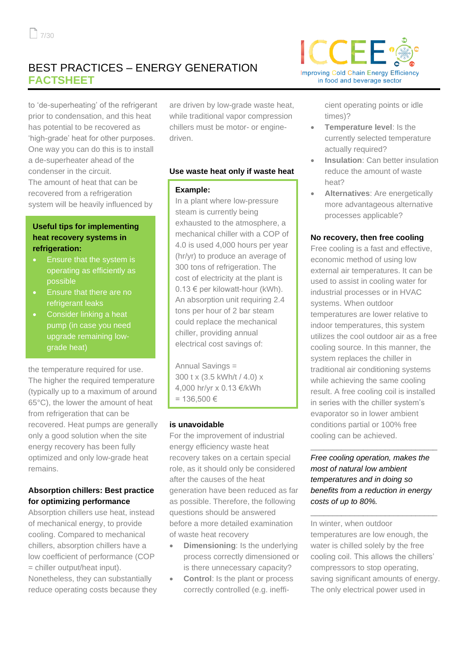## BEST PRACTICES – ENERGY GENERATION **FACTSHEET**

to 'de-superheating' of the refrigerant prior to condensation, and this heat has potential to be recovered as 'high-grade' heat for other purposes. One way you can do this is to install a de-superheater ahead of the condenser in the circuit. The amount of heat that can be recovered from a refrigeration system will be heavily influenced by

#### **Useful tips for implementing heat recovery systems in refrigeration:**

- Ensure that the system is operating as efficiently as possible
- Ensure that there are no refrigerant leaks
- Consider linking a heat pump (in case you need upgrade remaining lowgrade heat)

the temperature required for use. The higher the required temperature (typically up to a maximum of around 65°C), the lower the amount of heat from refrigeration that can be recovered. Heat pumps are generally only a good solution when the site energy recovery has been fully optimized and only low-grade heat remains.

#### **Absorption chillers: Best practice for optimizing performance**

Absorption chillers use heat, instead of mechanical energy, to provide cooling. Compared to mechanical chillers, absorption chillers have a low coefficient of performance (COP = chiller output/heat input).

Nonetheless, they can substantially reduce operating costs because they

are driven by low-grade waste heat, while traditional vapor compression chillers must be motor- or enginedriven.

#### **Use waste heat only if waste heat**

#### **Example:**

In a plant where low-pressure steam is currently being exhausted to the atmosphere, a mechanical chiller with a COP of 4.0 is used 4,000 hours per year (hr/yr) to produce an average of 300 tons of refrigeration. The cost of electricity at the plant is 0.13 € per kilowatt-hour (kWh). An absorption unit requiring 2.4 tons per hour of 2 bar steam could replace the mechanical chiller, providing annual electrical cost savings of:

Annual Savings = 300 t x (3.5 kWh/t / 4.0) x 4,000 hr/yr x 0.13 €/kWh = 136,500 €

#### **is unavoidable**

For the improvement of industrial energy efficiency waste heat recovery takes on a certain special role, as it should only be considered after the causes of the heat generation have been reduced as far as possible. Therefore, the following questions should be answered before a more detailed examination of waste heat recovery

- **Dimensioning: Is the underlying** process correctly dimensioned or is there unnecessary capacity?
- **Control:** Is the plant or process correctly controlled (e.g. ineffi-



cient operating points or idle times)?

- **Temperature level**: Is the currently selected temperature actually required?
- **Insulation**: Can better insulation reduce the amount of waste heat?
- **Alternatives**: Are energetically more advantageous alternative processes applicable?

#### **No recovery, then free cooling**

Free cooling is a fast and effective, economic method of using low external air temperatures. It can be used to assist in cooling water for industrial processes or in HVAC systems. When outdoor temperatures are lower relative to indoor temperatures, this system utilizes the cool outdoor air as a free cooling source. In this manner, the system replaces the chiller in traditional air conditioning systems while achieving the same cooling result. A free cooling coil is installed in series with the chiller system's evaporator so in lower ambient conditions partial or 100% free cooling can be achieved.

#### *Free cooling operation, makes the most of natural low ambient temperatures and in doing so benefits from a reduction in energy costs of up to 80%.*

**\_\_\_\_\_\_\_\_\_\_\_\_\_\_\_\_\_\_\_\_\_\_\_\_\_\_\_\_\_**

**\_\_\_\_\_\_\_\_\_\_\_\_\_\_\_\_\_\_\_\_\_\_\_\_\_\_\_\_\_**

In winter, when outdoor temperatures are low enough, the water is chilled solely by the free cooling coil. This allows the chillers' compressors to stop operating, saving significant amounts of energy. The only electrical power used in